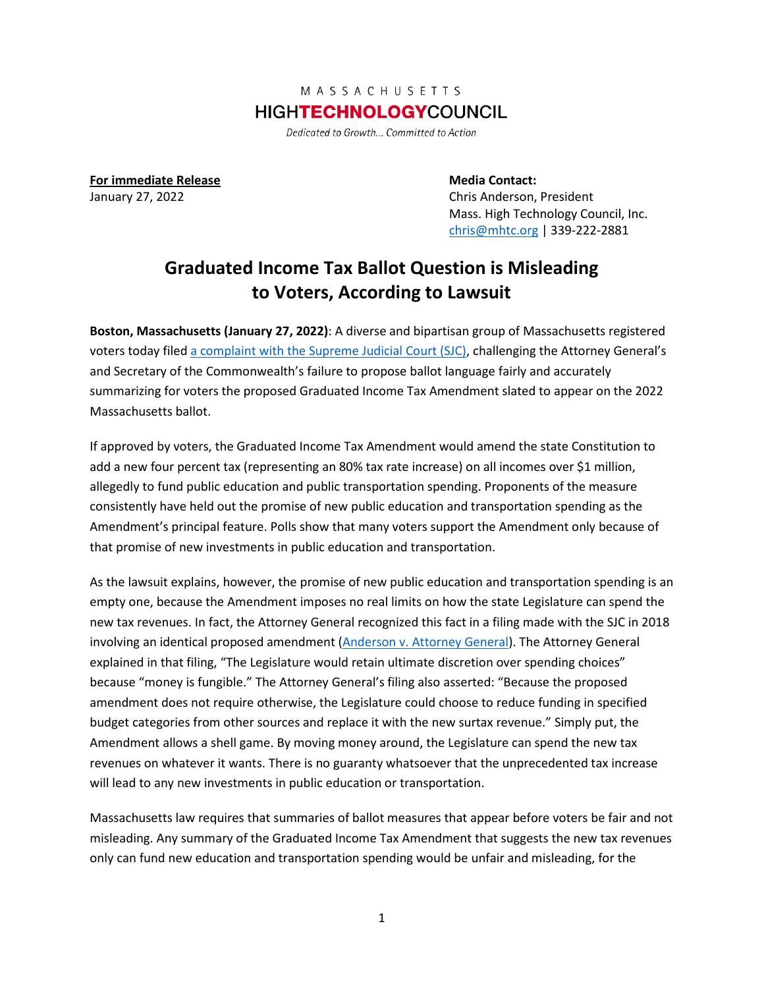## MASSACHUSETTS **HIGHTECHNOLOGYCOUNCIL**

Dedicated to Growth... Committed to Action

**For immediate Release <b>Media Contact: Media Contact:** 

January 27, 2022 Chris Anderson, President Mass. High Technology Council, Inc. [chris@mhtc.org](mailto:chris@mhtc.org) | 339-222-2881

## **Graduated Income Tax Ballot Question is Misleading to Voters, According to Lawsuit**

**Boston, Massachusetts (January 27, 2022)**: A diverse and bipartisan group of Massachusetts registered voters today file[d a complaint with the Supreme Judicial Court \(SJC\),](http://www.mhtc.org/wp-content/uploads/2022/01/MHTC-Complaint_1.27.22.pdf) challenging the Attorney General's and Secretary of the Commonwealth's failure to propose ballot language fairly and accurately summarizing for voters the proposed Graduated Income Tax Amendment slated to appear on the 2022 Massachusetts ballot.

If approved by voters, the Graduated Income Tax Amendment would amend the state Constitution to add a new four percent tax (representing an 80% tax rate increase) on all incomes over \$1 million, allegedly to fund public education and public transportation spending. Proponents of the measure consistently have held out the promise of new public education and transportation spending as the Amendment's principal feature. Polls show that many voters support the Amendment only because of that promise of new investments in public education and transportation.

As the lawsuit explains, however, the promise of new public education and transportation spending is an empty one, because the Amendment imposes no real limits on how the state Legislature can spend the new tax revenues. In fact, the Attorney General recognized this fact in a filing made with the SJC in 2018 involving an identical proposed amendment [\(Anderson v. Attorney General\)](https://law.justia.com/cases/massachusetts/supreme-court/2018/sjc-12422.html). The Attorney General explained in that filing, "The Legislature would retain ultimate discretion over spending choices" because "money is fungible." The Attorney General's filing also asserted: "Because the proposed amendment does not require otherwise, the Legislature could choose to reduce funding in specified budget categories from other sources and replace it with the new surtax revenue." Simply put, the Amendment allows a shell game. By moving money around, the Legislature can spend the new tax revenues on whatever it wants. There is no guaranty whatsoever that the unprecedented tax increase will lead to any new investments in public education or transportation.

Massachusetts law requires that summaries of ballot measures that appear before voters be fair and not misleading. Any summary of the Graduated Income Tax Amendment that suggests the new tax revenues only can fund new education and transportation spending would be unfair and misleading, for the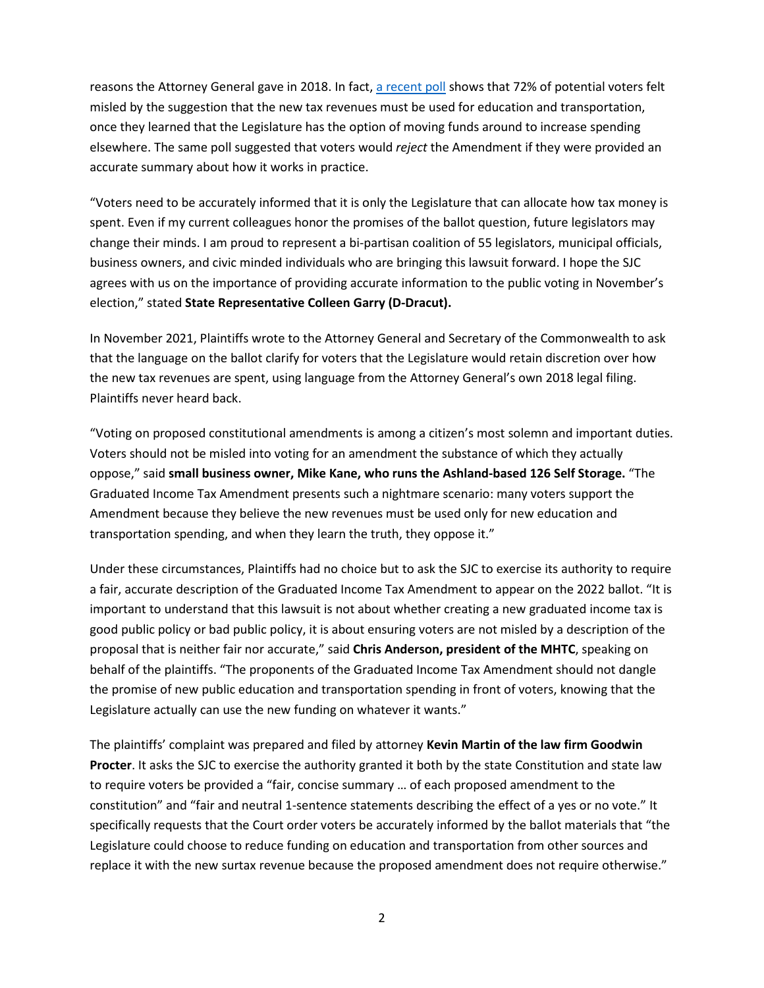reasons the Attorney General gave in 2018. In fact[, a recent poll](http://www.mhtc.org/wp-content/uploads/2021/11/MHTC-poll-results_11-16-21.pdf) shows that 72% of potential voters felt misled by the suggestion that the new tax revenues must be used for education and transportation, once they learned that the Legislature has the option of moving funds around to increase spending elsewhere. The same poll suggested that voters would *reject* the Amendment if they were provided an accurate summary about how it works in practice.

"Voters need to be accurately informed that it is only the Legislature that can allocate how tax money is spent. Even if my current colleagues honor the promises of the ballot question, future legislators may change their minds. I am proud to represent a bi-partisan coalition of 55 legislators, municipal officials, business owners, and civic minded individuals who are bringing this lawsuit forward. I hope the SJC agrees with us on the importance of providing accurate information to the public voting in November's election," stated **State Representative Colleen Garry (D-Dracut).**

In November 2021, Plaintiffs wrote to the Attorney General and Secretary of the Commonwealth to ask that the language on the ballot clarify for voters that the Legislature would retain discretion over how the new tax revenues are spent, using language from the Attorney General's own 2018 legal filing. Plaintiffs never heard back.

"Voting on proposed constitutional amendments is among a citizen's most solemn and important duties. Voters should not be misled into voting for an amendment the substance of which they actually oppose," said **small business owner, Mike Kane, who runs the Ashland-based 126 Self Storage.** "The Graduated Income Tax Amendment presents such a nightmare scenario: many voters support the Amendment because they believe the new revenues must be used only for new education and transportation spending, and when they learn the truth, they oppose it."

Under these circumstances, Plaintiffs had no choice but to ask the SJC to exercise its authority to require a fair, accurate description of the Graduated Income Tax Amendment to appear on the 2022 ballot. "It is important to understand that this lawsuit is not about whether creating a new graduated income tax is good public policy or bad public policy, it is about ensuring voters are not misled by a description of the proposal that is neither fair nor accurate," said **Chris Anderson, president of the MHTC**, speaking on behalf of the plaintiffs. "The proponents of the Graduated Income Tax Amendment should not dangle the promise of new public education and transportation spending in front of voters, knowing that the Legislature actually can use the new funding on whatever it wants."

The plaintiffs' complaint was prepared and filed by attorney **Kevin Martin of the law firm Goodwin Procter**. It asks the SJC to exercise the authority granted it both by the state Constitution and state law to require voters be provided a "fair, concise summary … of each proposed amendment to the constitution" and "fair and neutral 1-sentence statements describing the effect of a yes or no vote." It specifically requests that the Court order voters be accurately informed by the ballot materials that "the Legislature could choose to reduce funding on education and transportation from other sources and replace it with the new surtax revenue because the proposed amendment does not require otherwise."